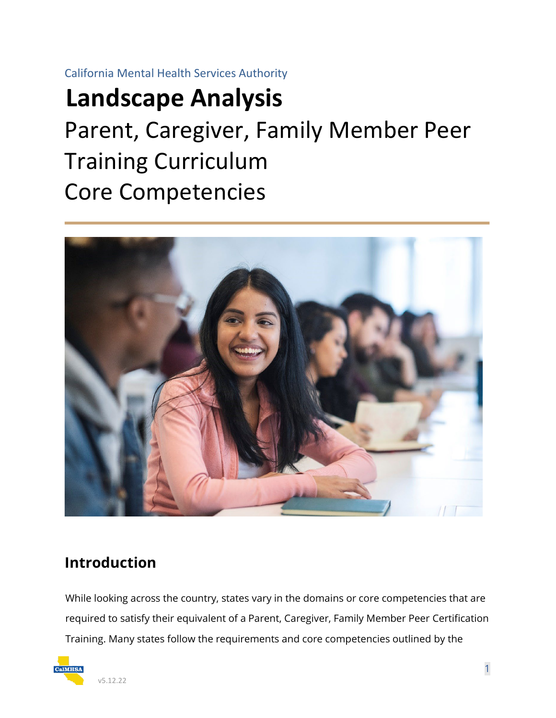California Mental Health Services Authority

# **Landscape Analysis**

Parent, Caregiver, Family Member Peer Training Curriculum Core Competencies



# **Introduction**

While looking across the country, states vary in the domains or core competencies that are required to satisfy their equivalent of a Parent, Caregiver, Family Member Peer Certification Training. Many states follow the requirements and core competencies outlined by the

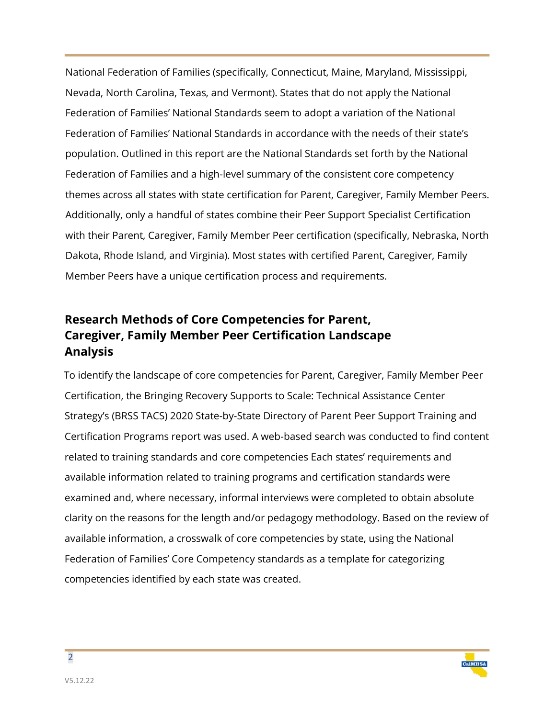National Federation of Families (specifically, Connecticut, Maine, Maryland, Mississippi, Nevada, North Carolina, Texas, and Vermont). States that do not apply the National Federation of Families' National Standards seem to adopt a variation of the National Federation of Families' National Standards in accordance with the needs of their state's population. Outlined in this report are the National Standards set forth by the National Federation of Families and a high-level summary of the consistent core competency themes across all states with state certification for Parent, Caregiver, Family Member Peers. Additionally, only a handful of states combine their Peer Support Specialist Certification with their Parent, Caregiver, Family Member Peer certification (specifically, Nebraska, North Dakota, Rhode Island, and Virginia). Most states with certified Parent, Caregiver, Family Member Peers have a unique certification process and requirements.

## **Research Methods of Core Competencies for Parent, Caregiver, Family Member Peer Certification Landscape Analysis**

To identify the landscape of core competencies for Parent, Caregiver, Family Member Peer Certification, the Bringing Recovery Supports to Scale: Technical Assistance Center Strategy's (BRSS TACS) 2020 State-by-State Directory of Parent Peer Support Training and Certification Programs report was used. A web-based search was conducted to find content related to training standards and core competencies Each states' requirements and available information related to training programs and certification standards were examined and, where necessary, informal interviews were completed to obtain absolute clarity on the reasons for the length and/or pedagogy methodology. Based on the review of available information, a crosswalk of core competencies by state, using the National Federation of Families' Core Competency standards as a template for categorizing competencies identified by each state was created.



 $\overline{2}$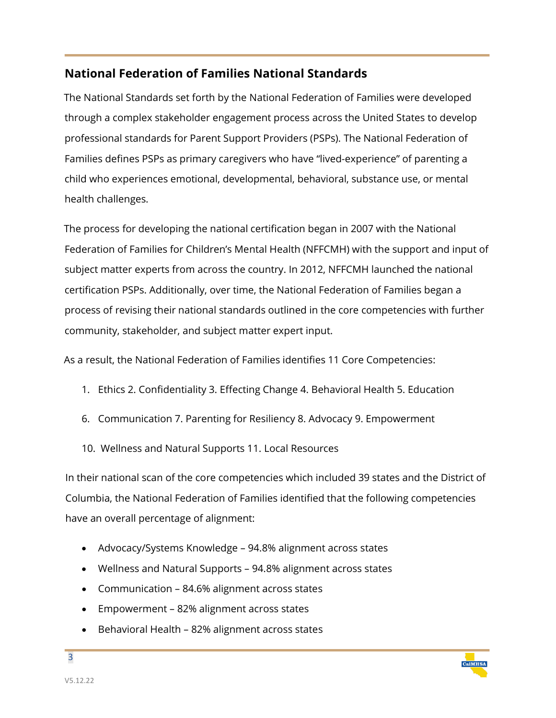### **National Federation of Families National Standards**

The National Standards set forth by the National Federation of Families were developed through a complex stakeholder engagement process across the United States to develop professional standards for Parent Support Providers (PSPs). The National Federation of Families defines PSPs as primary caregivers who have "lived-experience" of parenting a child who experiences emotional, developmental, behavioral, substance use, or mental health challenges.

The process for developing the national certification began in 2007 with the National Federation of Families for Children's Mental Health (NFFCMH) with the support and input of subject matter experts from across the country. In 2012, NFFCMH launched the national certification PSPs. Additionally, over time, the National Federation of Families began a process of revising their national standards outlined in the core competencies with further community, stakeholder, and subject matter expert input.

As a result, the National Federation of Families identifies 11 Core Competencies:

- 1. Ethics 2. Confidentiality 3. Effecting Change 4. Behavioral Health 5. Education
- 6. Communication 7. Parenting for Resiliency 8. Advocacy 9. Empowerment
- 10. Wellness and Natural Supports 11. Local Resources

In their national scan of the core competencies which included 39 states and the District of Columbia, the National Federation of Families identified that the following competencies have an overall percentage of alignment:

- Advocacy/Systems Knowledge 94.8% alignment across states
- Wellness and Natural Supports 94.8% alignment across states
- Communication 84.6% alignment across states
- Empowerment 82% alignment across states
- Behavioral Health 82% alignment across states

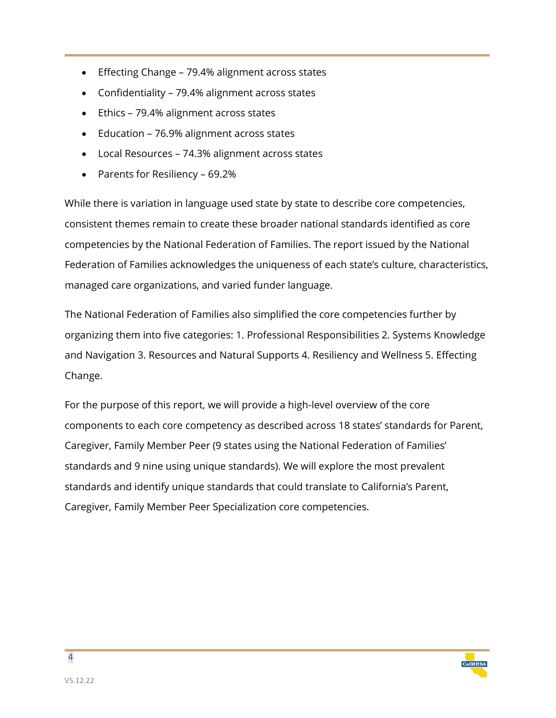- Effecting Change 79.4% alignment across states
- Confidentiality 79.4% alignment across states
- Ethics 79.4% alignment across states
- Education 76.9% alignment across states
- Local Resources 74.3% alignment across states
- Parents for Resiliency 69.2%

While there is variation in language used state by state to describe core competencies, consistent themes remain to create these broader national standards identified as core competencies by the National Federation of Families. The report issued by the National Federation of Families acknowledges the uniqueness of each state's culture, characteristics, managed care organizations, and varied funder language.

The National Federation of Families also simplified the core competencies further by organizing them into five categories: 1. Professional Responsibilities 2. Systems Knowledge and Navigation 3. Resources and Natural Supports 4. Resiliency and Wellness 5. Effecting Change.

For the purpose of this report, we will provide a high-level overview of the core components to each core competency as described across 18 states' standards for Parent, Caregiver, Family Member Peer (9 states using the National Federation of Families' standards and 9 nine using unique standards). We will explore the most prevalent standards and identify unique standards that could translate to California's Parent, Caregiver, Family Member Peer Specialization core competencies.

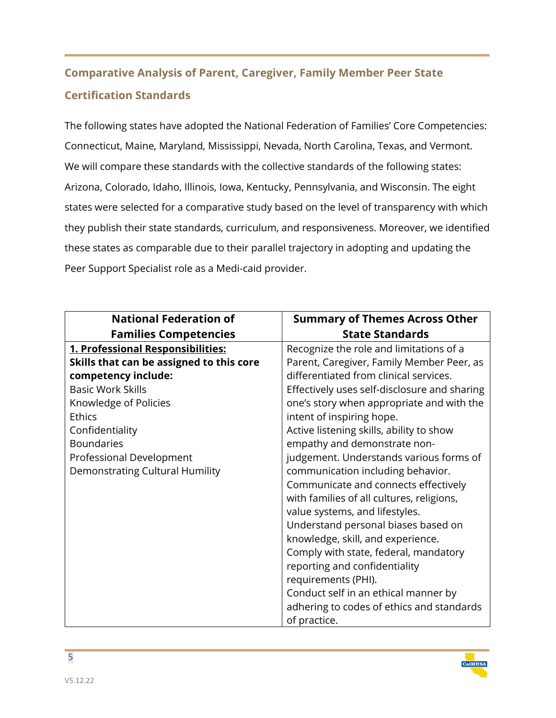## **Comparative Analysis of Parent, Caregiver, Family Member Peer State Certification Standards**

The following states have adopted the National Federation of Families' Core Competencies: Connecticut, Maine, Maryland, Mississippi, Nevada, North Carolina, Texas, and Vermont. We will compare these standards with the collective standards of the following states: Arizona, Colorado, Idaho, Illinois, Iowa, Kentucky, Pennsylvania, and Wisconsin. The eight states were selected for a comparative study based on the level of transparency with which they publish their state standards, curriculum, and responsiveness. Moreover, we identified these states as comparable due to their parallel trajectory in adopting and updating the Peer Support Specialist role as a Medi-caid provider.

| <b>National Federation of</b>            | <b>Summary of Themes Across Other</b>        |
|------------------------------------------|----------------------------------------------|
|                                          | <b>State Standards</b>                       |
| <b>Families Competencies</b>             |                                              |
| 1. Professional Responsibilities:        | Recognize the role and limitations of a      |
| Skills that can be assigned to this core | Parent, Caregiver, Family Member Peer, as    |
| competency include:                      | differentiated from clinical services.       |
| <b>Basic Work Skills</b>                 | Effectively uses self-disclosure and sharing |
| Knowledge of Policies                    | one's story when appropriate and with the    |
| <b>Ethics</b>                            | intent of inspiring hope.                    |
| Confidentiality                          | Active listening skills, ability to show     |
| <b>Boundaries</b>                        | empathy and demonstrate non-                 |
| Professional Development                 | judgement. Understands various forms of      |
| <b>Demonstrating Cultural Humility</b>   | communication including behavior.            |
|                                          | Communicate and connects effectively         |
|                                          | with families of all cultures, religions,    |
|                                          | value systems, and lifestyles.               |
|                                          | Understand personal biases based on          |
|                                          | knowledge, skill, and experience.            |
|                                          | Comply with state, federal, mandatory        |
|                                          | reporting and confidentiality                |
|                                          | requirements (PHI).                          |
|                                          | Conduct self in an ethical manner by         |
|                                          | adhering to codes of ethics and standards    |
|                                          | of practice.                                 |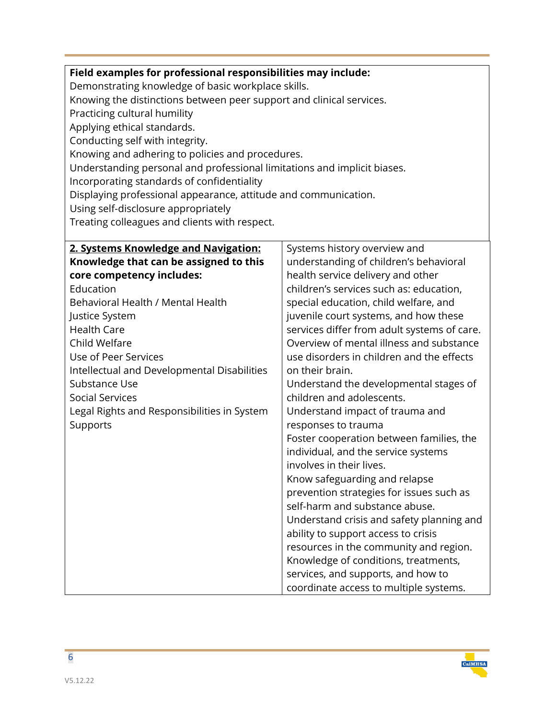| Field examples for professional responsibilities may include:                                        |  |  |
|------------------------------------------------------------------------------------------------------|--|--|
| Demonstrating knowledge of basic workplace skills.                                                   |  |  |
| Knowing the distinctions between peer support and clinical services.<br>Practicing cultural humility |  |  |
|                                                                                                      |  |  |
|                                                                                                      |  |  |
|                                                                                                      |  |  |
| Knowing and adhering to policies and procedures.                                                     |  |  |
| Understanding personal and professional limitations and implicit biases.                             |  |  |
|                                                                                                      |  |  |
| Displaying professional appearance, attitude and communication.                                      |  |  |
|                                                                                                      |  |  |
|                                                                                                      |  |  |
|                                                                                                      |  |  |
| Systems history overview and                                                                         |  |  |
| understanding of children's behavioral                                                               |  |  |
| health service delivery and other                                                                    |  |  |
| children's services such as: education,                                                              |  |  |
| special education, child welfare, and                                                                |  |  |
| juvenile court systems, and how these                                                                |  |  |
| services differ from adult systems of care.                                                          |  |  |
| Overview of mental illness and substance                                                             |  |  |
| use disorders in children and the effects                                                            |  |  |
| on their brain.                                                                                      |  |  |
| Understand the developmental stages of                                                               |  |  |
| children and adolescents.                                                                            |  |  |
| Understand impact of trauma and                                                                      |  |  |
| responses to trauma                                                                                  |  |  |
| Foster cooperation between families, the                                                             |  |  |
| individual, and the service systems                                                                  |  |  |
| involves in their lives.                                                                             |  |  |
| Know safeguarding and relapse                                                                        |  |  |
| prevention strategies for issues such as                                                             |  |  |
| self-harm and substance abuse.                                                                       |  |  |
| Understand crisis and safety planning and                                                            |  |  |
| ability to support access to crisis                                                                  |  |  |
| resources in the community and region.                                                               |  |  |
| Knowledge of conditions, treatments,                                                                 |  |  |
| services, and supports, and how to                                                                   |  |  |
| coordinate access to multiple systems.                                                               |  |  |
|                                                                                                      |  |  |

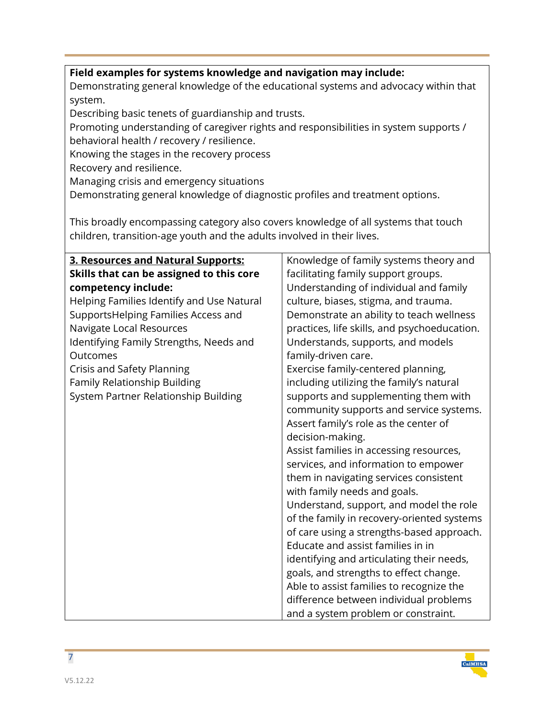#### **Field examples for systems knowledge and navigation may include:**

Demonstrating general knowledge of the educational systems and advocacy within that system.

Describing basic tenets of guardianship and trusts.

Promoting understanding of caregiver rights and responsibilities in system supports / behavioral health / recovery / resilience.

Knowing the stages in the recovery process

Recovery and resilience.

Managing crisis and emergency situations

Demonstrating general knowledge of diagnostic profiles and treatment options.

This broadly encompassing category also covers knowledge of all systems that touch children, transition-age youth and the adults involved in their lives.

| 3. Resources and Natural Supports:        | Knowledge of family systems theory and       |
|-------------------------------------------|----------------------------------------------|
| Skills that can be assigned to this core  | facilitating family support groups.          |
| competency include:                       | Understanding of individual and family       |
| Helping Families Identify and Use Natural | culture, biases, stigma, and trauma.         |
| SupportsHelping Families Access and       | Demonstrate an ability to teach wellness     |
| Navigate Local Resources                  | practices, life skills, and psychoeducation. |
| Identifying Family Strengths, Needs and   | Understands, supports, and models            |
| Outcomes                                  | family-driven care.                          |
| Crisis and Safety Planning                | Exercise family-centered planning,           |
| Family Relationship Building              | including utilizing the family's natural     |
| System Partner Relationship Building      | supports and supplementing them with         |
|                                           | community supports and service systems.      |
|                                           | Assert family's role as the center of        |
|                                           | decision-making.                             |
|                                           | Assist families in accessing resources,      |
|                                           | services, and information to empower         |
|                                           | them in navigating services consistent       |
|                                           | with family needs and goals.                 |
|                                           | Understand, support, and model the role      |
|                                           | of the family in recovery-oriented systems   |
|                                           | of care using a strengths-based approach.    |
|                                           | Educate and assist families in in            |
|                                           | identifying and articulating their needs,    |
|                                           | goals, and strengths to effect change.       |
|                                           | Able to assist families to recognize the     |
|                                           | difference between individual problems       |
|                                           | and a system problem or constraint.          |

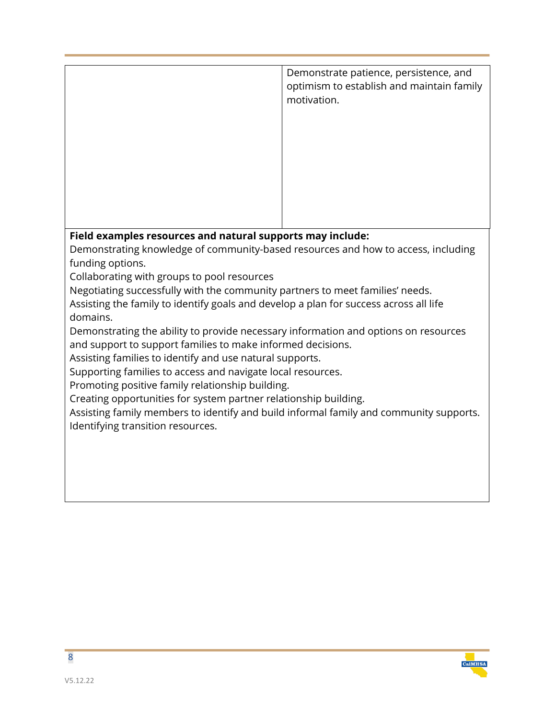|                                        | Demonstrate patience, persistence, and<br>optimism to establish and maintain family<br>motivation. |
|----------------------------------------|----------------------------------------------------------------------------------------------------|
|                                        |                                                                                                    |
|                                        |                                                                                                    |
| - 1<br>- 1 - 1 -<br>والمستنبذ والمسالم | والمستراب والمستنقذ                                                                                |

#### **Field examples resources and natural supports may include:**

Demonstrating knowledge of community-based resources and how to access, including funding options.

Collaborating with groups to pool resources

Negotiating successfully with the community partners to meet families' needs.

Assisting the family to identify goals and develop a plan for success across all life domains.

Demonstrating the ability to provide necessary information and options on resources and support to support families to make informed decisions.

Assisting families to identify and use natural supports.

Supporting families to access and navigate local resources.

Promoting positive family relationship building.

Creating opportunities for system partner relationship building.

Assisting family members to identify and build informal family and community supports. Identifying transition resources.

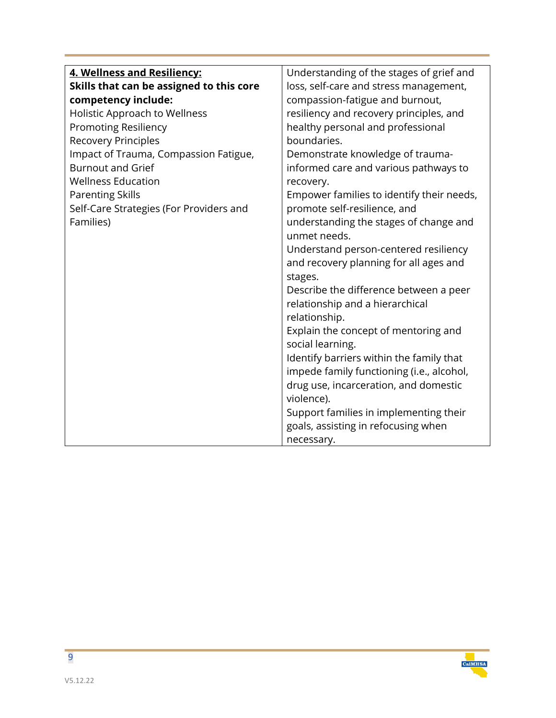| 4. Wellness and Resiliency:              | Understanding of the stages of grief and  |
|------------------------------------------|-------------------------------------------|
| Skills that can be assigned to this core | loss, self-care and stress management,    |
| competency include:                      | compassion-fatigue and burnout,           |
| <b>Holistic Approach to Wellness</b>     | resiliency and recovery principles, and   |
| <b>Promoting Resiliency</b>              | healthy personal and professional         |
| <b>Recovery Principles</b>               | boundaries.                               |
| Impact of Trauma, Compassion Fatigue,    | Demonstrate knowledge of trauma-          |
| <b>Burnout and Grief</b>                 | informed care and various pathways to     |
| <b>Wellness Education</b>                | recovery.                                 |
| <b>Parenting Skills</b>                  | Empower families to identify their needs, |
| Self-Care Strategies (For Providers and  | promote self-resilience, and              |
| Families)                                | understanding the stages of change and    |
|                                          | unmet needs.                              |
|                                          | Understand person-centered resiliency     |
|                                          | and recovery planning for all ages and    |
|                                          | stages.                                   |
|                                          | Describe the difference between a peer    |
|                                          | relationship and a hierarchical           |
|                                          | relationship.                             |
|                                          | Explain the concept of mentoring and      |
|                                          | social learning.                          |
|                                          | Identify barriers within the family that  |
|                                          | impede family functioning (i.e., alcohol, |
|                                          | drug use, incarceration, and domestic     |
|                                          | violence).                                |
|                                          | Support families in implementing their    |
|                                          | goals, assisting in refocusing when       |
|                                          | necessary.                                |

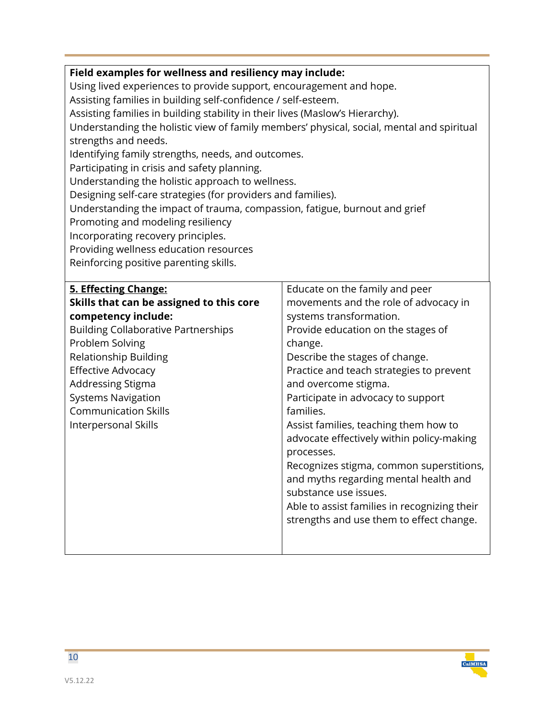| Field examples for wellness and resiliency may include:                                   |                                              |  |
|-------------------------------------------------------------------------------------------|----------------------------------------------|--|
| Using lived experiences to provide support, encouragement and hope.                       |                                              |  |
| Assisting families in building self-confidence / self-esteem.                             |                                              |  |
| Assisting families in building stability in their lives (Maslow's Hierarchy).             |                                              |  |
| Understanding the holistic view of family members' physical, social, mental and spiritual |                                              |  |
| strengths and needs.                                                                      |                                              |  |
| Identifying family strengths, needs, and outcomes.                                        |                                              |  |
| Participating in crisis and safety planning.                                              |                                              |  |
| Understanding the holistic approach to wellness.                                          |                                              |  |
| Designing self-care strategies (for providers and families).                              |                                              |  |
| Understanding the impact of trauma, compassion, fatigue, burnout and grief                |                                              |  |
| Promoting and modeling resiliency                                                         |                                              |  |
| Incorporating recovery principles.                                                        |                                              |  |
| Providing wellness education resources                                                    |                                              |  |
| Reinforcing positive parenting skills.                                                    |                                              |  |
|                                                                                           |                                              |  |
| 5. Effecting Change:                                                                      | Educate on the family and peer               |  |
| Skills that can be assigned to this core                                                  | movements and the role of advocacy in        |  |
| competency include:                                                                       | systems transformation.                      |  |
| <b>Building Collaborative Partnerships</b>                                                | Provide education on the stages of           |  |
| Problem Solving                                                                           | change.                                      |  |
| Relationship Building                                                                     | Describe the stages of change.               |  |
| <b>Effective Advocacy</b>                                                                 | Practice and teach strategies to prevent     |  |
| Addressing Stigma                                                                         | and overcome stigma.                         |  |
| <b>Systems Navigation</b>                                                                 | Participate in advocacy to support           |  |
| <b>Communication Skills</b>                                                               | families.                                    |  |
| Interpersonal Skills                                                                      | Assist families, teaching them how to        |  |
|                                                                                           | advocate effectively within policy-making    |  |
|                                                                                           | processes.                                   |  |
|                                                                                           | Recognizes stigma, common superstitions,     |  |
|                                                                                           | and myths regarding mental health and        |  |
|                                                                                           | substance use issues.                        |  |
|                                                                                           | Able to assist families in recognizing their |  |
|                                                                                           | strengths and use them to effect change.     |  |
|                                                                                           |                                              |  |
|                                                                                           |                                              |  |

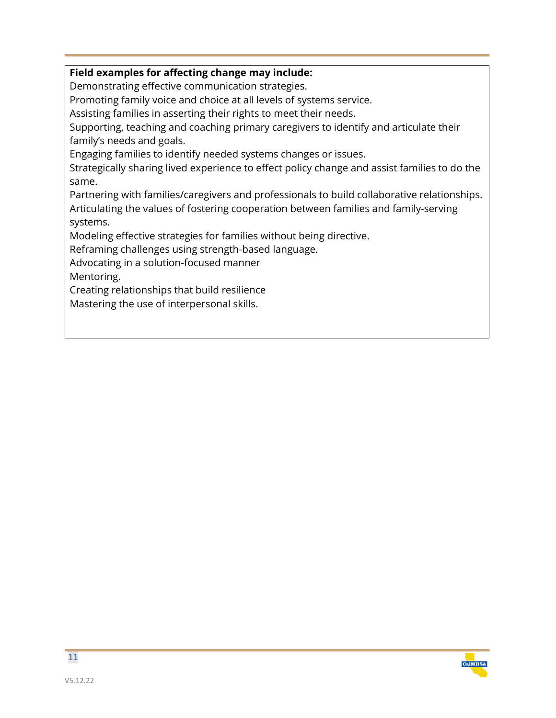#### **Field examples for affecting change may include:**

Demonstrating effective communication strategies.

Promoting family voice and choice at all levels of systems service.

Assisting families in asserting their rights to meet their needs.

Supporting, teaching and coaching primary caregivers to identify and articulate their family's needs and goals.

Engaging families to identify needed systems changes or issues.

Strategically sharing lived experience to effect policy change and assist families to do the same.

Partnering with families/caregivers and professionals to build collaborative relationships. Articulating the values of fostering cooperation between families and family-serving systems.

Modeling effective strategies for families without being directive.

Reframing challenges using strength-based language.

Advocating in a solution-focused manner

Mentoring.

Creating relationships that build resilience

Mastering the use of interpersonal skills.

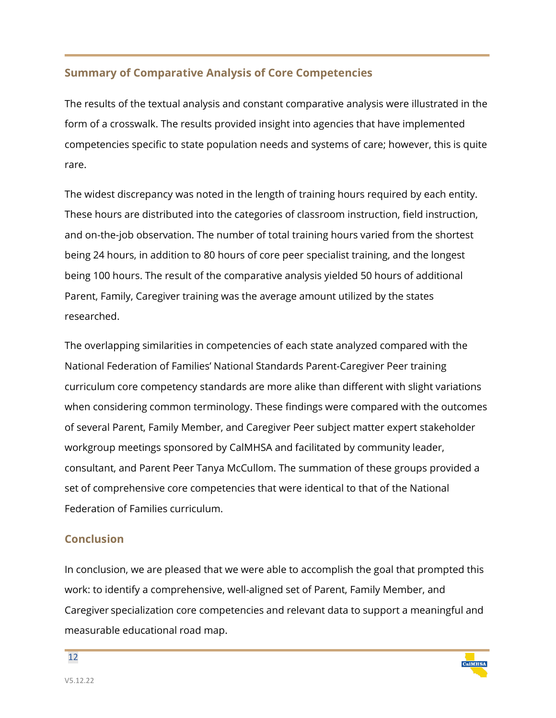#### **Summary of Comparative Analysis of Core Competencies**

The results of the textual analysis and constant comparative analysis were illustrated in the form of a crosswalk. The results provided insight into agencies that have implemented competencies specific to state population needs and systems of care; however, this is quite rare.

The widest discrepancy was noted in the length of training hours required by each entity. These hours are distributed into the categories of classroom instruction, field instruction, and on-the-job observation. The number of total training hours varied from the shortest being 24 hours, in addition to 80 hours of core peer specialist training, and the longest being 100 hours. The result of the comparative analysis yielded 50 hours of additional Parent, Family, Caregiver training was the average amount utilized by the states researched.

The overlapping similarities in competencies of each state analyzed compared with the National Federation of Families' National Standards Parent-Caregiver Peer training curriculum core competency standards are more alike than different with slight variations when considering common terminology. These findings were compared with the outcomes of several Parent, Family Member, and Caregiver Peer subject matter expert stakeholder workgroup meetings sponsored by CalMHSA and facilitated by community leader, consultant, and Parent Peer Tanya McCullom. The summation of these groups provided a set of comprehensive core competencies that were identical to that of the National Federation of Families curriculum.

#### **Conclusion**

In conclusion, we are pleased that we were able to accomplish the goal that prompted this work: to identify a comprehensive, well-aligned set of Parent, Family Member, and Caregiver specialization core competencies and relevant data to support a meaningful and measurable educational road map.